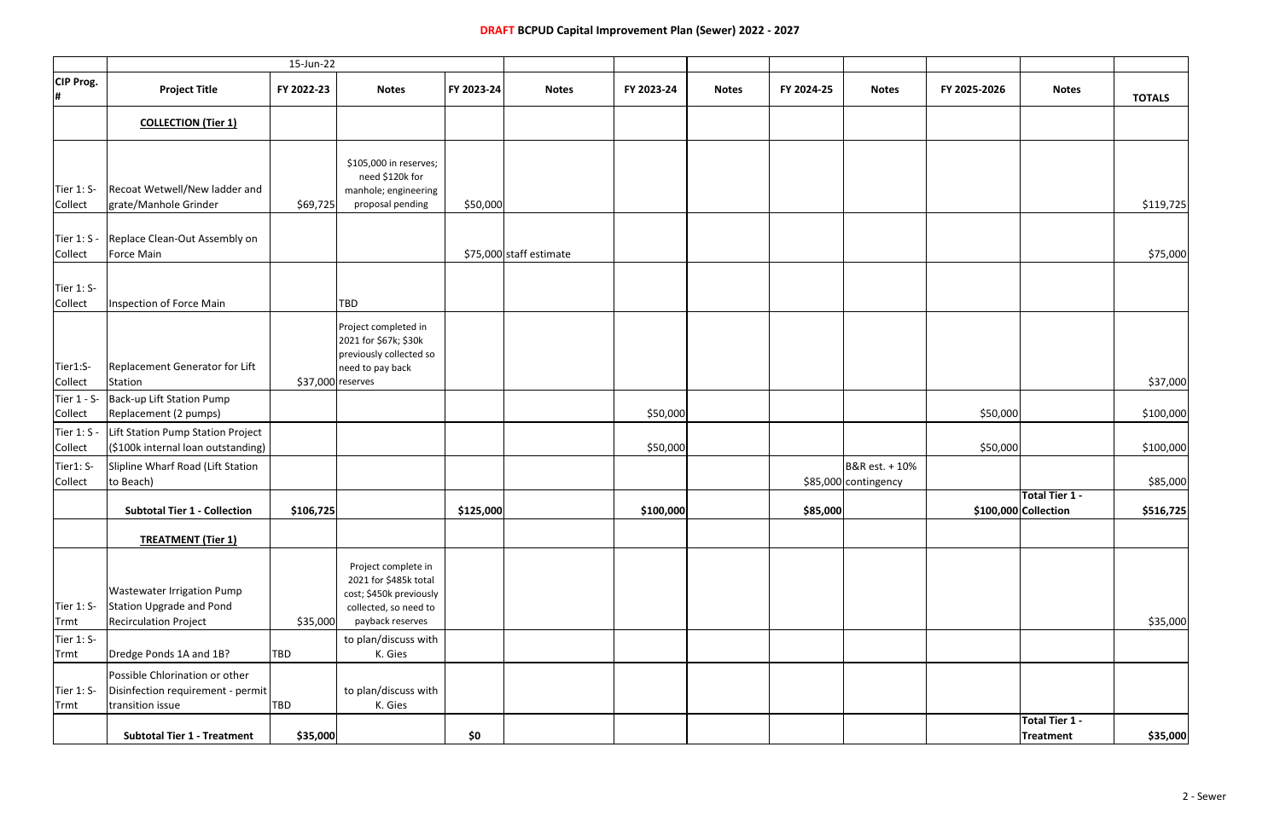|                                               | 15-Jun-22                                                                                       |            |                                                                                                                      |            |                         |            |              |            |                                        |              |                                               |                       |
|-----------------------------------------------|-------------------------------------------------------------------------------------------------|------------|----------------------------------------------------------------------------------------------------------------------|------------|-------------------------|------------|--------------|------------|----------------------------------------|--------------|-----------------------------------------------|-----------------------|
| <b>CIP Prog.</b><br>#                         | <b>Project Title</b>                                                                            | FY 2022-23 | <b>Notes</b>                                                                                                         | FY 2023-24 | <b>Notes</b>            | FY 2023-24 | <b>Notes</b> | FY 2024-25 | <b>Notes</b>                           | FY 2025-2026 | <b>Notes</b>                                  | <b>TOTALS</b>         |
|                                               | <b>COLLECTION (Tier 1)</b>                                                                      |            |                                                                                                                      |            |                         |            |              |            |                                        |              |                                               |                       |
| Tier 1: S-<br>Collect                         | Recoat Wetwell/New ladder and<br>grate/Manhole Grinder                                          | \$69,725   | \$105,000 in reserves;<br>need \$120k for<br>manhole; engineering<br>proposal pending                                | \$50,000   |                         |            |              |            |                                        |              |                                               | \$119,725             |
| Collect                                       | Tier 1: S - Replace Clean-Out Assembly on<br>Force Main                                         |            |                                                                                                                      |            | \$75,000 staff estimate |            |              |            |                                        |              |                                               | \$75,000              |
| Tier 1: S-<br>Collect                         | Inspection of Force Main                                                                        |            | <b>TBD</b>                                                                                                           |            |                         |            |              |            |                                        |              |                                               |                       |
| Tier1:S-<br>Collect<br>Tier 1 - S-<br>Collect | Replacement Generator for Lift<br>Station<br>Back-up Lift Station Pump<br>Replacement (2 pumps) |            | Project completed in<br>2021 for \$67k; \$30k<br>previously collected so<br>need to pay back<br>$$37,000$ reserves   |            |                         | \$50,000   |              |            |                                        | \$50,000     |                                               | \$37,000<br>\$100,000 |
| Tier 1: S -<br>Collect                        | Lift Station Pump Station Project<br>(\$100k internal loan outstanding)                         |            |                                                                                                                      |            |                         | \$50,000   |              |            |                                        | \$50,000     |                                               | \$100,000             |
| Tier1: S-<br>Collect                          | Slipline Wharf Road (Lift Station<br>to Beach)                                                  |            |                                                                                                                      |            |                         |            |              |            | B&R est. + 10%<br>\$85,000 contingency |              |                                               | \$85,000              |
|                                               | <b>Subtotal Tier 1 - Collection</b>                                                             | \$106,725  |                                                                                                                      | \$125,000  |                         | \$100,000  |              | \$85,000   |                                        |              | <b>Total Tier 1 -</b><br>\$100,000 Collection | \$516,725             |
|                                               | <b>TREATMENT (Tier 1)</b>                                                                       |            |                                                                                                                      |            |                         |            |              |            |                                        |              |                                               |                       |
| Tier 1: S-<br><b>Trmt</b>                     | <b>Wastewater Irrigation Pump</b><br>Station Upgrade and Pond<br><b>Recirculation Project</b>   | \$35,000   | Project complete in<br>2021 for \$485k total<br>cost; \$450k previously<br>collected, so need to<br>payback reserves |            |                         |            |              |            |                                        |              |                                               | \$35,000              |
| <b>Tier 1: S-</b><br><b>Trmt</b>              | Dredge Ponds 1A and 1B?                                                                         | TBD        | to plan/discuss with<br>K. Gies                                                                                      |            |                         |            |              |            |                                        |              |                                               |                       |
| Tier 1: S-<br>Trmt                            | Possible Chlorination or other<br>Disinfection requirement - permit<br>transition issue         | <b>TBD</b> | to plan/discuss with<br>K. Gies                                                                                      |            |                         |            |              |            |                                        |              |                                               |                       |
|                                               | <b>Subtotal Tier 1 - Treatment</b>                                                              | \$35,000   |                                                                                                                      | \$0        |                         |            |              |            |                                        |              | <b>Total Tier 1 -</b><br><b>Treatment</b>     | \$35,000              |